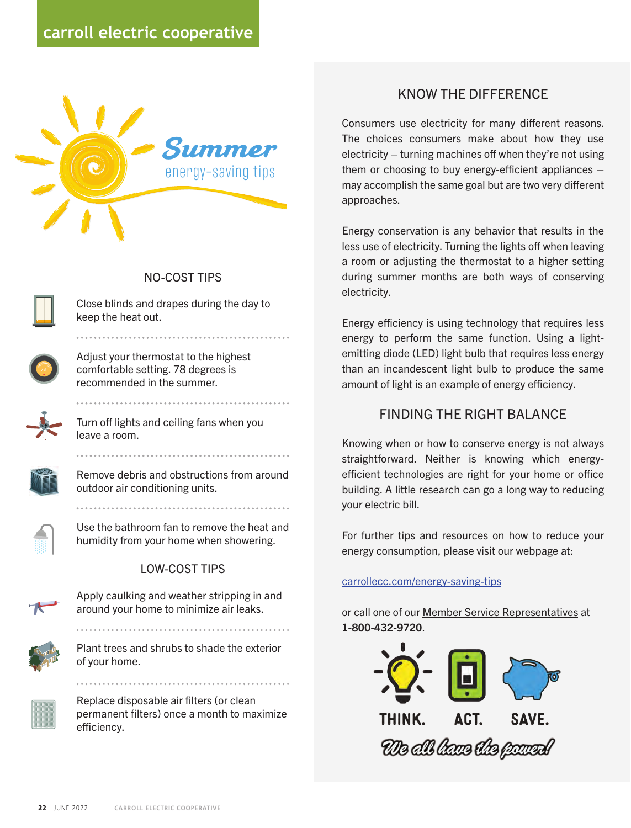

### NO-COST TIPS

Close blinds and drapes during the day to keep the heat out.



Adjust your thermostat to the highest comfortable setting. 78 degrees is recommended in the summer.

Turn off lights and ceiling fans when you leave a room.

Remove debris and obstructions from around outdoor air conditioning units.

Use the bathroom fan to remove the heat and humidity from your home when showering.

## LOW-COST TIPS



Apply caulking and weather stripping in and around your home to minimize air leaks.

Plant trees and shrubs to shade the exterior of your home.



Replace disposable air filters (or clean permanent filters) once a month to maximize efficiency.

## KNOW THE DIFFERENCE

Consumers use electricity for many different reasons. The choices consumers make about how they use electricity – turning machines off when they're not using them or choosing to buy energy-efficient appliances – may accomplish the same goal but are two very different approaches.

Energy conservation is any behavior that results in the less use of electricity. Turning the lights off when leaving a room or adjusting the thermostat to a higher setting during summer months are both ways of conserving electricity.

Energy efficiency is using technology that requires less energy to perform the same function. Using a lightemitting diode (LED) light bulb that requires less energy than an incandescent light bulb to produce the same amount of light is an example of energy efficiency.

# FINDING THE RIGHT BALANCE

Knowing when or how to conserve energy is not always straightforward. Neither is knowing which energyefficient technologies are right for your home or office building. A little research can go a long way to reducing your electric bill.

For further tips and resources on how to reduce your energy consumption, please visit our webpage at:

#### carrollecc.com/energy-saving-tips

or call one of our Member Service Representatives at 1-800-432-9720.